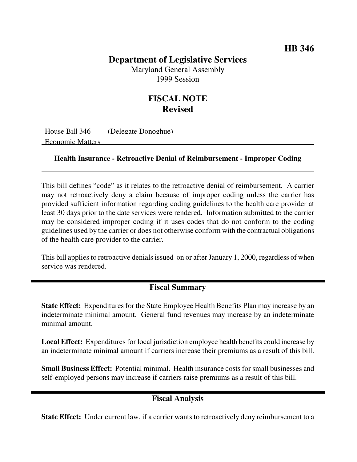## **HB 346**

# **Department of Legislative Services**

Maryland General Assembly 1999 Session

# **FISCAL NOTE Revised**

House Bill 346 (Delegate Donoghue) Economic Matters

#### **Health Insurance - Retroactive Denial of Reimbursement - Improper Coding**

This bill defines "code" as it relates to the retroactive denial of reimbursement. A carrier may not retroactively deny a claim because of improper coding unless the carrier has provided sufficient information regarding coding guidelines to the health care provider at least 30 days prior to the date services were rendered. Information submitted to the carrier may be considered improper coding if it uses codes that do not conform to the coding guidelines used by the carrier or does not otherwise conform with the contractual obligations of the health care provider to the carrier.

This bill applies to retroactive denials issued on or after January 1, 2000, regardless of when service was rendered.

### **Fiscal Summary**

**State Effect:** Expenditures for the State Employee Health Benefits Plan may increase by an indeterminate minimal amount. General fund revenues may increase by an indeterminate minimal amount.

**Local Effect:** Expenditures for local jurisdiction employee health benefits could increase by an indeterminate minimal amount if carriers increase their premiums as a result of this bill.

**Small Business Effect:** Potential minimal. Health insurance costsforsmall businesses and self-employed persons may increase if carriers raise premiums as a result of this bill.

## **Fiscal Analysis**

**State Effect:** Under current law, if a carrier wants to retroactively deny reimbursement to a